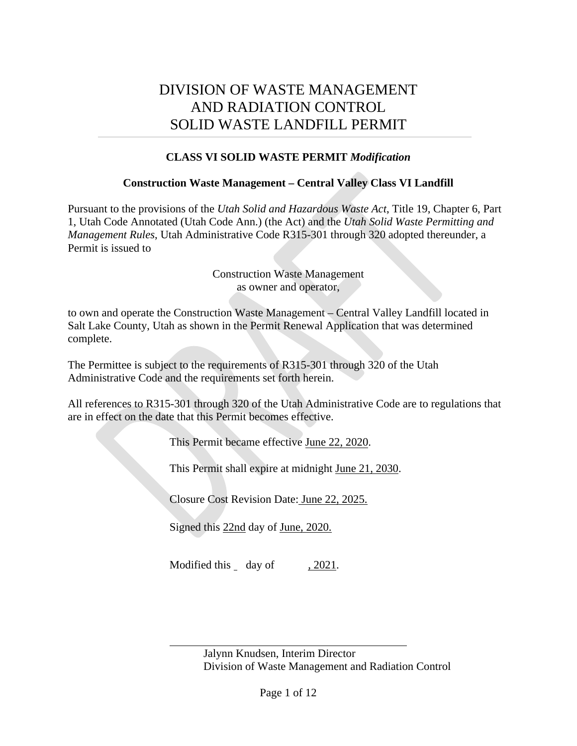## DIVISION OF WASTE MANAGEMENT AND RADIATION CONTROL SOLID WASTE LANDFILL PERMIT

#### **CLASS VI SOLID WASTE PERMIT** *Modification*

#### **Construction Waste Management – Central Valley Class VI Landfill**

Pursuant to the provisions of the *Utah Solid and Hazardous Waste Act*, Title 19, Chapter 6, Part 1, Utah Code Annotated (Utah Code Ann.) (the Act) and the *Utah Solid Waste Permitting and Management Rules*, Utah Administrative Code R315-301 through 320 adopted thereunder, a Permit is issued to

> Construction Waste Management as owner and operator,

to own and operate the Construction Waste Management – Central Valley Landfill located in Salt Lake County, Utah as shown in the Permit Renewal Application that was determined complete.

The Permittee is subject to the requirements of R315-301 through 320 of the Utah Administrative Code and the requirements set forth herein.

All references to R315-301 through 320 of the Utah Administrative Code are to regulations that are in effect on the date that this Permit becomes effective.

This Permit became effective June 22, 2020.

This Permit shall expire at midnight June 21, 2030.

Closure Cost Revision Date: June 22, 2025.

Signed this 22nd day of June, 2020.

Modified this day of , 2021.

Jalynn Knudsen, Interim Director Division of Waste Management and Radiation Control

 $\overline{a}$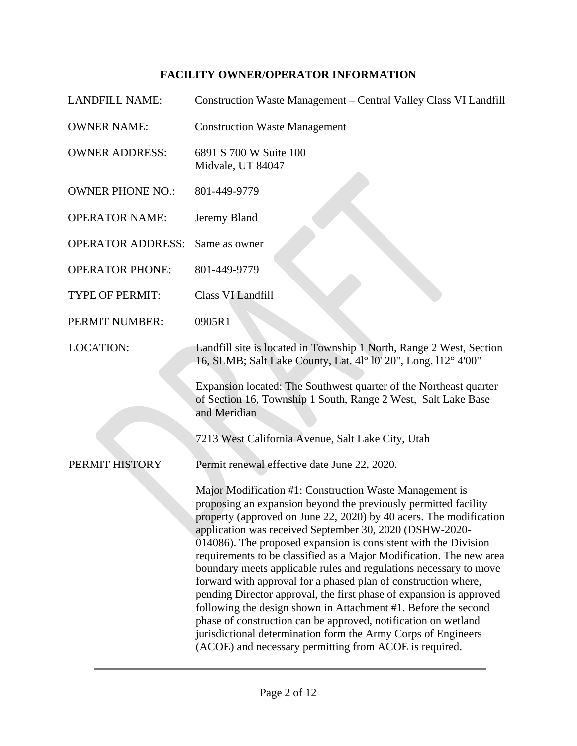### **FACILITY OWNER/OPERATOR INFORMATION**

| <b>LANDFILL NAME:</b>    | Construction Waste Management - Central Valley Class VI Landfill                                                                                                                                                                                                                                                                                                                                                                                                                                                                                                                                                                                                                                                                                                                                                                                                                   |
|--------------------------|------------------------------------------------------------------------------------------------------------------------------------------------------------------------------------------------------------------------------------------------------------------------------------------------------------------------------------------------------------------------------------------------------------------------------------------------------------------------------------------------------------------------------------------------------------------------------------------------------------------------------------------------------------------------------------------------------------------------------------------------------------------------------------------------------------------------------------------------------------------------------------|
| <b>OWNER NAME:</b>       | <b>Construction Waste Management</b>                                                                                                                                                                                                                                                                                                                                                                                                                                                                                                                                                                                                                                                                                                                                                                                                                                               |
| <b>OWNER ADDRESS:</b>    | 6891 S 700 W Suite 100<br>Midvale, UT 84047                                                                                                                                                                                                                                                                                                                                                                                                                                                                                                                                                                                                                                                                                                                                                                                                                                        |
| <b>OWNER PHONE NO.:</b>  | 801-449-9779                                                                                                                                                                                                                                                                                                                                                                                                                                                                                                                                                                                                                                                                                                                                                                                                                                                                       |
| <b>OPERATOR NAME:</b>    | Jeremy Bland                                                                                                                                                                                                                                                                                                                                                                                                                                                                                                                                                                                                                                                                                                                                                                                                                                                                       |
| <b>OPERATOR ADDRESS:</b> | Same as owner                                                                                                                                                                                                                                                                                                                                                                                                                                                                                                                                                                                                                                                                                                                                                                                                                                                                      |
| <b>OPERATOR PHONE:</b>   | 801-449-9779                                                                                                                                                                                                                                                                                                                                                                                                                                                                                                                                                                                                                                                                                                                                                                                                                                                                       |
| <b>TYPE OF PERMIT:</b>   | Class VI Landfill                                                                                                                                                                                                                                                                                                                                                                                                                                                                                                                                                                                                                                                                                                                                                                                                                                                                  |
| PERMIT NUMBER:           | 0905R1                                                                                                                                                                                                                                                                                                                                                                                                                                                                                                                                                                                                                                                                                                                                                                                                                                                                             |
| <b>LOCATION:</b>         | Landfill site is located in Township 1 North, Range 2 West, Section<br>16, SLMB; Salt Lake County, Lat. 41° 10' 20", Long. 112° 4'00"                                                                                                                                                                                                                                                                                                                                                                                                                                                                                                                                                                                                                                                                                                                                              |
|                          | Expansion located: The Southwest quarter of the Northeast quarter<br>of Section 16, Township 1 South, Range 2 West, Salt Lake Base<br>and Meridian                                                                                                                                                                                                                                                                                                                                                                                                                                                                                                                                                                                                                                                                                                                                 |
|                          | 7213 West California Avenue, Salt Lake City, Utah                                                                                                                                                                                                                                                                                                                                                                                                                                                                                                                                                                                                                                                                                                                                                                                                                                  |
| PERMIT HISTORY           | Permit renewal effective date June 22, 2020.                                                                                                                                                                                                                                                                                                                                                                                                                                                                                                                                                                                                                                                                                                                                                                                                                                       |
|                          | Major Modification #1: Construction Waste Management is<br>proposing an expansion beyond the previously permitted facility<br>property (approved on June 22, 2020) by 40 acers. The modification<br>application was received September 30, 2020 (DSHW-2020-<br>014086). The proposed expansion is consistent with the Division<br>requirements to be classified as a Major Modification. The new area<br>boundary meets applicable rules and regulations necessary to move<br>forward with approval for a phased plan of construction where,<br>pending Director approval, the first phase of expansion is approved<br>following the design shown in Attachment #1. Before the second<br>phase of construction can be approved, notification on wetland<br>jurisdictional determination form the Army Corps of Engineers<br>(ACOE) and necessary permitting from ACOE is required. |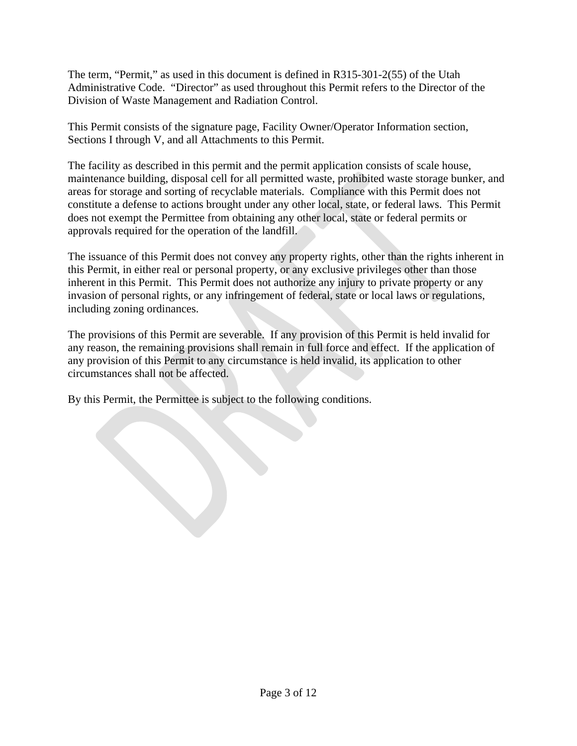The term, "Permit," as used in this document is defined in R315-301-2(55) of the Utah Administrative Code. "Director" as used throughout this Permit refers to the Director of the Division of Waste Management and Radiation Control.

This Permit consists of the signature page, Facility Owner/Operator Information section, Sections I through V, and all Attachments to this Permit.

The facility as described in this permit and the permit application consists of scale house, maintenance building, disposal cell for all permitted waste, prohibited waste storage bunker, and areas for storage and sorting of recyclable materials. Compliance with this Permit does not constitute a defense to actions brought under any other local, state, or federal laws. This Permit does not exempt the Permittee from obtaining any other local, state or federal permits or approvals required for the operation of the landfill.

The issuance of this Permit does not convey any property rights, other than the rights inherent in this Permit, in either real or personal property, or any exclusive privileges other than those inherent in this Permit. This Permit does not authorize any injury to private property or any invasion of personal rights, or any infringement of federal, state or local laws or regulations, including zoning ordinances.

The provisions of this Permit are severable. If any provision of this Permit is held invalid for any reason, the remaining provisions shall remain in full force and effect. If the application of any provision of this Permit to any circumstance is held invalid, its application to other circumstances shall not be affected.

By this Permit, the Permittee is subject to the following conditions.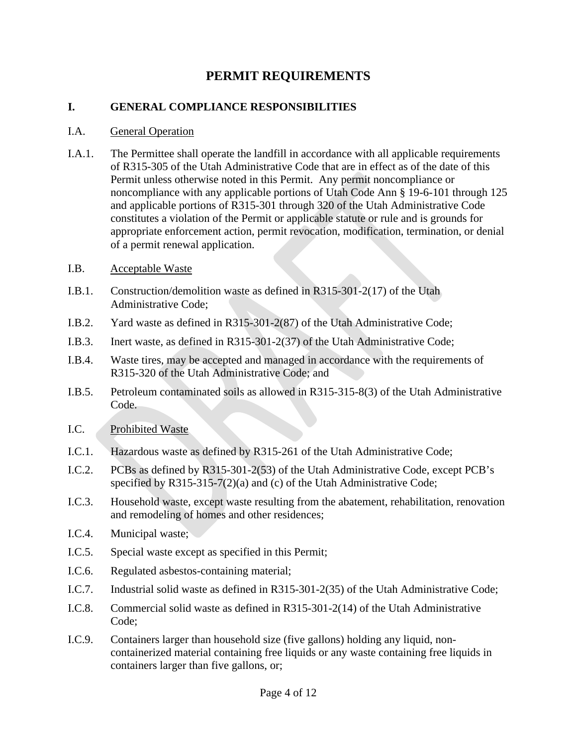### **PERMIT REQUIREMENTS**

#### **I. GENERAL COMPLIANCE RESPONSIBILITIES**

#### I.A. General Operation

- I.A.1. The Permittee shall operate the landfill in accordance with all applicable requirements of R315-305 of the Utah Administrative Code that are in effect as of the date of this Permit unless otherwise noted in this Permit. Any permit noncompliance or noncompliance with any applicable portions of Utah Code Ann § 19-6-101 through 125 and applicable portions of R315-301 through 320 of the Utah Administrative Code constitutes a violation of the Permit or applicable statute or rule and is grounds for appropriate enforcement action, permit revocation, modification, termination, or denial of a permit renewal application.
- <span id="page-3-0"></span>I.B. Acceptable Waste
- I.B.1. Construction/demolition waste as defined in R315-301-2(17) of the Utah Administrative Code;
- I.B.2. Yard waste as defined in R315-301-2(87) of the Utah Administrative Code;
- I.B.3. Inert waste, as defined in R315-301-2(37) of the Utah Administrative Code;
- I.B.4. Waste tires, may be accepted and managed in accordance with the requirements of R315-320 of the Utah Administrative Code; and
- I.B.5. Petroleum contaminated soils as allowed in R315-315-8(3) of the Utah Administrative Code.
- I.C. Prohibited Waste
- I.C.1. Hazardous waste as defined by R315-261 of the Utah Administrative Code;
- I.C.2. PCBs as defined by R315-301-2(53) of the Utah Administrative Code, except PCB's specified by R315-315-7(2)(a) and (c) of the Utah Administrative Code;
- I.C.3. Household waste, except waste resulting from the abatement, rehabilitation, renovation and remodeling of homes and other residences;
- I.C.4. Municipal waste;
- I.C.5. Special waste except as specified in this Permit;
- I.C.6. Regulated asbestos-containing material;
- I.C.7. Industrial solid waste as defined in R315-301-2(35) of the Utah Administrative Code;
- I.C.8. Commercial solid waste as defined in R315-301-2(14) of the Utah Administrative Code;
- I.C.9. Containers larger than household size (five gallons) holding any liquid, noncontainerized material containing free liquids or any waste containing free liquids in containers larger than five gallons, or;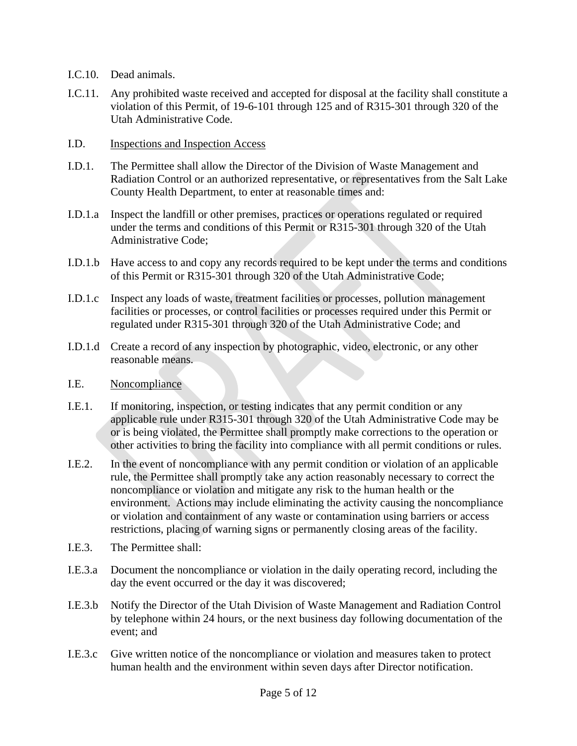- I.C.10. Dead animals.
- I.C.11. Any prohibited waste received and accepted for disposal at the facility shall constitute a violation of this Permit, of 19-6-101 through 125 and of R315-301 through 320 of the Utah Administrative Code.
- I.D. Inspections and Inspection Access
- I.D.1. The Permittee shall allow the Director of the Division of Waste Management and Radiation Control or an authorized representative, or representatives from the Salt Lake County Health Department, to enter at reasonable times and:
- I.D.1.a Inspect the landfill or other premises, practices or operations regulated or required under the terms and conditions of this Permit or R315-301 through 320 of the Utah Administrative Code;
- I.D.1.b Have access to and copy any records required to be kept under the terms and conditions of this Permit or R315-301 through 320 of the Utah Administrative Code;
- I.D.1.c Inspect any loads of waste, treatment facilities or processes, pollution management facilities or processes, or control facilities or processes required under this Permit or regulated under R315-301 through 320 of the Utah Administrative Code; and
- I.D.1.d Create a record of any inspection by photographic, video, electronic, or any other reasonable means.
- I.E. Noncompliance
- I.E.1. If monitoring, inspection, or testing indicates that any permit condition or any applicable rule under R315-301 through 320 of the Utah Administrative Code may be or is being violated, the Permittee shall promptly make corrections to the operation or other activities to bring the facility into compliance with all permit conditions or rules.
- I.E.2. In the event of noncompliance with any permit condition or violation of an applicable rule, the Permittee shall promptly take any action reasonably necessary to correct the noncompliance or violation and mitigate any risk to the human health or the environment. Actions may include eliminating the activity causing the noncompliance or violation and containment of any waste or contamination using barriers or access restrictions, placing of warning signs or permanently closing areas of the facility.
- I.E.3. The Permittee shall:
- I.E.3.a Document the noncompliance or violation in the daily operating record, including the day the event occurred or the day it was discovered;
- I.E.3.b Notify the Director of the Utah Division of Waste Management and Radiation Control by telephone within 24 hours, or the next business day following documentation of the event; and
- I.E.3.c Give written notice of the noncompliance or violation and measures taken to protect human health and the environment within seven days after Director notification.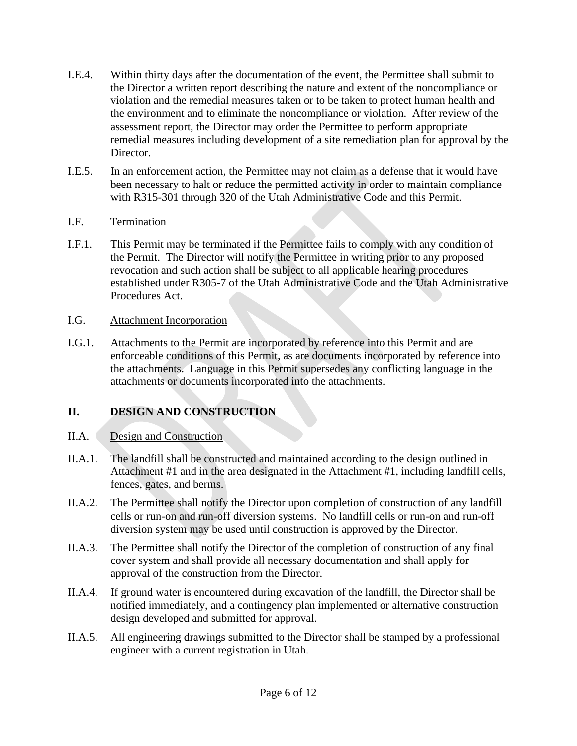- I.E.4. Within thirty days after the documentation of the event, the Permittee shall submit to the Director a written report describing the nature and extent of the noncompliance or violation and the remedial measures taken or to be taken to protect human health and the environment and to eliminate the noncompliance or violation. After review of the assessment report, the Director may order the Permittee to perform appropriate remedial measures including development of a site remediation plan for approval by the Director.
- I.E.5. In an enforcement action, the Permittee may not claim as a defense that it would have been necessary to halt or reduce the permitted activity in order to maintain compliance with R315-301 through 320 of the Utah Administrative Code and this Permit.

#### I.F. Termination

I.F.1. This Permit may be terminated if the Permittee fails to comply with any condition of the Permit. The Director will notify the Permittee in writing prior to any proposed revocation and such action shall be subject to all applicable hearing procedures established under R305-7 of the Utah Administrative Code and the Utah Administrative Procedures Act.

#### I.G. Attachment Incorporation

I.G.1. Attachments to the Permit are incorporated by reference into this Permit and are enforceable conditions of this Permit, as are documents incorporated by reference into the attachments. Language in this Permit supersedes any conflicting language in the attachments or documents incorporated into the attachments.

### **II. DESIGN AND CONSTRUCTION**

#### II.A. Design and Construction

- II.A.1. The landfill shall be constructed and maintained according to the design outlined in Attachment #1 and in the area designated in the Attachment #1, including landfill cells, fences, gates, and berms.
- II.A.2. The Permittee shall notify the Director upon completion of construction of any landfill cells or run-on and run-off diversion systems. No landfill cells or run-on and run-off diversion system may be used until construction is approved by the Director.
- II.A.3. The Permittee shall notify the Director of the completion of construction of any final cover system and shall provide all necessary documentation and shall apply for approval of the construction from the Director.
- II.A.4. If ground water is encountered during excavation of the landfill, the Director shall be notified immediately, and a contingency plan implemented or alternative construction design developed and submitted for approval.
- II.A.5. All engineering drawings submitted to the Director shall be stamped by a professional engineer with a current registration in Utah.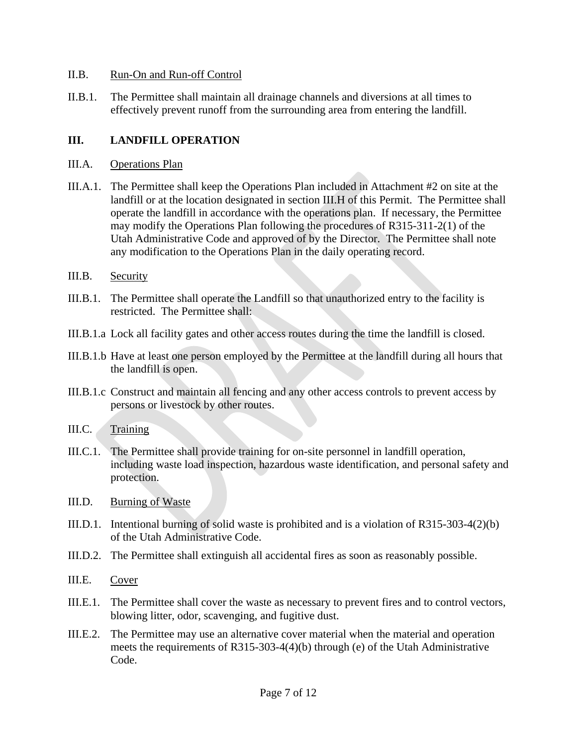#### II.B. Run-On and Run-off Control

II.B.1. The Permittee shall maintain all drainage channels and diversions at all times to effectively prevent runoff from the surrounding area from entering the landfill.

#### **III. LANDFILL OPERATION**

- III.A. Operations Plan
- III.A.1. The Permittee shall keep the Operations Plan included in Attachment #2 on site at the landfill or at the location designated in section [III.H](#page-8-0) of this Permit. The Permittee shall operate the landfill in accordance with the operations plan. If necessary, the Permittee may modify the Operations Plan following the procedures of R315-311-2(1) of the Utah Administrative Code and approved of by the Director. The Permittee shall note any modification to the Operations Plan in the daily operating record.
- III.B. Security
- III.B.1. The Permittee shall operate the Landfill so that unauthorized entry to the facility is restricted. The Permittee shall:
- III.B.1.a Lock all facility gates and other access routes during the time the landfill is closed.
- III.B.1.b Have at least one person employed by the Permittee at the landfill during all hours that the landfill is open.
- III.B.1.c Construct and maintain all fencing and any other access controls to prevent access by persons or livestock by other routes.
- III.C. Training
- III.C.1. The Permittee shall provide training for on-site personnel in landfill operation, including waste load inspection, hazardous waste identification, and personal safety and protection.
- III.D. Burning of Waste
- III.D.1. Intentional burning of solid waste is prohibited and is a violation of R315-303-4(2)(b) of the Utah Administrative Code.
- III.D.2. The Permittee shall extinguish all accidental fires as soon as reasonably possible.
- III.E. Cover
- III.E.1. The Permittee shall cover the waste as necessary to prevent fires and to control vectors, blowing litter, odor, scavenging, and fugitive dust.
- III.E.2. The Permittee may use an alternative cover material when the material and operation meets the requirements of R315-303-4(4)(b) through (e) of the Utah Administrative Code.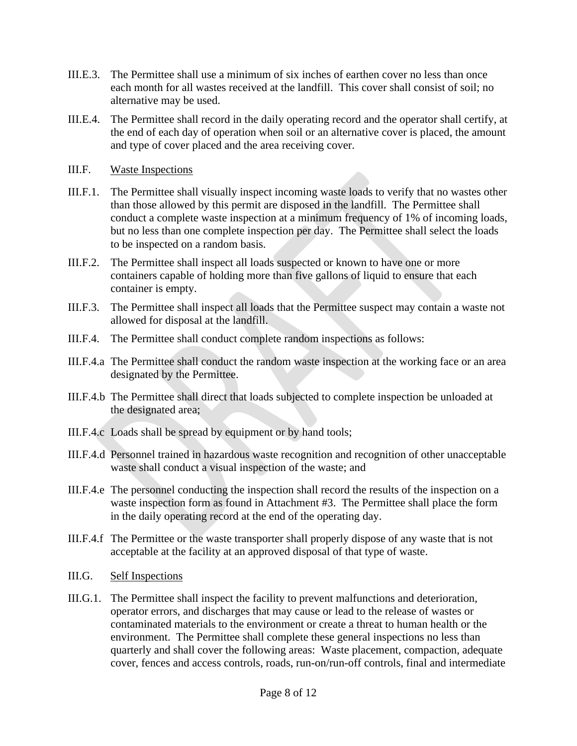- III.E.3. The Permittee shall use a minimum of six inches of earthen cover no less than once each month for all wastes received at the landfill. This cover shall consist of soil; no alternative may be used.
- III.E.4. The Permittee shall record in the daily operating record and the operator shall certify, at the end of each day of operation when soil or an alternative cover is placed, the amount and type of cover placed and the area receiving cover.
- III.F. Waste Inspections
- III.F.1. The Permittee shall visually inspect incoming waste loads to verify that no wastes other than those allowed by this permit are disposed in the landfill. The Permittee shall conduct a complete waste inspection at a minimum frequency of 1% of incoming loads, but no less than one complete inspection per day. The Permittee shall select the loads to be inspected on a random basis.
- III.F.2. The Permittee shall inspect all loads suspected or known to have one or more containers capable of holding more than five gallons of liquid to ensure that each container is empty.
- III.F.3. The Permittee shall inspect all loads that the Permittee suspect may contain a waste not allowed for disposal at the landfill.
- III.F.4. The Permittee shall conduct complete random inspections as follows:
- III.F.4.a The Permittee shall conduct the random waste inspection at the working face or an area designated by the Permittee.
- III.F.4.b The Permittee shall direct that loads subjected to complete inspection be unloaded at the designated area;
- III.F.4.c Loads shall be spread by equipment or by hand tools;
- III.F.4.d Personnel trained in hazardous waste recognition and recognition of other unacceptable waste shall conduct a visual inspection of the waste; and
- III.F.4.e The personnel conducting the inspection shall record the results of the inspection on a waste inspection form as found in Attachment #3. The Permittee shall place the form in the daily operating record at the end of the operating day.
- III.F.4.f The Permittee or the waste transporter shall properly dispose of any waste that is not acceptable at the facility at an approved disposal of that type of waste.
- III.G. Self Inspections
- III.G.1. The Permittee shall inspect the facility to prevent malfunctions and deterioration, operator errors, and discharges that may cause or lead to the release of wastes or contaminated materials to the environment or create a threat to human health or the environment. The Permittee shall complete these general inspections no less than quarterly and shall cover the following areas: Waste placement, compaction, adequate cover, fences and access controls, roads, run-on/run-off controls, final and intermediate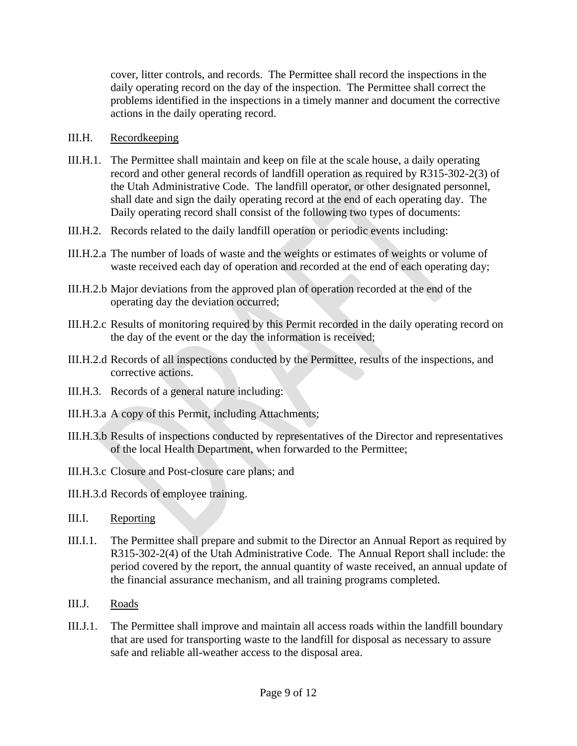cover, litter controls, and records. The Permittee shall record the inspections in the daily operating record on the day of the inspection. The Permittee shall correct the problems identified in the inspections in a timely manner and document the corrective actions in the daily operating record.

#### <span id="page-8-0"></span>III.H. Recordkeeping

- III.H.1. The Permittee shall maintain and keep on file at the scale house, a daily operating record and other general records of landfill operation as required by R315-302-2(3) of the Utah Administrative Code. The landfill operator, or other designated personnel, shall date and sign the daily operating record at the end of each operating day. The Daily operating record shall consist of the following two types of documents:
- III.H.2. Records related to the daily landfill operation or periodic events including:
- III.H.2.a The number of loads of waste and the weights or estimates of weights or volume of waste received each day of operation and recorded at the end of each operating day;
- III.H.2.b Major deviations from the approved plan of operation recorded at the end of the operating day the deviation occurred;
- III.H.2.c Results of monitoring required by this Permit recorded in the daily operating record on the day of the event or the day the information is received;
- III.H.2.d Records of all inspections conducted by the Permittee, results of the inspections, and corrective actions.
- III.H.3. Records of a general nature including:
- III.H.3.a A copy of this Permit, including Attachments;
- III.H.3.b Results of inspections conducted by representatives of the Director and representatives of the local Health Department, when forwarded to the Permittee;
- III.H.3.c Closure and Post-closure care plans; and
- III.H.3.d Records of employee training.
- III.I. Reporting
- III.I.1. The Permittee shall prepare and submit to the Director an Annual Report as required by R315-302-2(4) of the Utah Administrative Code. The Annual Report shall include: the period covered by the report, the annual quantity of waste received, an annual update of the financial assurance mechanism, and all training programs completed.
- III.J. Roads
- III.J.1. The Permittee shall improve and maintain all access roads within the landfill boundary that are used for transporting waste to the landfill for disposal as necessary to assure safe and reliable all-weather access to the disposal area.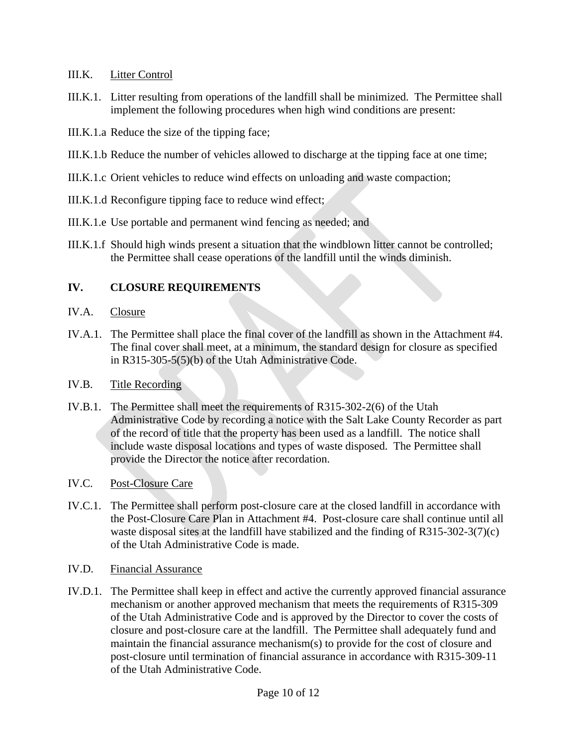#### III.K. Litter Control

- III.K.1. Litter resulting from operations of the landfill shall be minimized. The Permittee shall implement the following procedures when high wind conditions are present:
- III.K.1.a Reduce the size of the tipping face;
- III.K.1.b Reduce the number of vehicles allowed to discharge at the tipping face at one time;
- III.K.1.c Orient vehicles to reduce wind effects on unloading and waste compaction;
- III.K.1.d Reconfigure tipping face to reduce wind effect;
- III.K.1.e Use portable and permanent wind fencing as needed; and
- III.K.1.f Should high winds present a situation that the windblown litter cannot be controlled; the Permittee shall cease operations of the landfill until the winds diminish.

### **IV. CLOSURE REQUIREMENTS**

- IV.A. Closure
- IV.A.1. The Permittee shall place the final cover of the landfill as shown in the Attachment #4. The final cover shall meet, at a minimum, the standard design for closure as specified in R315-305-5(5)(b) of the Utah Administrative Code.
- IV.B. Title Recording
- IV.B.1. The Permittee shall meet the requirements of R315-302-2(6) of the Utah Administrative Code by recording a notice with the Salt Lake County Recorder as part of the record of title that the property has been used as a landfill. The notice shall include waste disposal locations and types of waste disposed. The Permittee shall provide the Director the notice after recordation.
- IV.C. Post-Closure Care
- IV.C.1. The Permittee shall perform post-closure care at the closed landfill in accordance with the Post-Closure Care Plan in Attachment #4. Post-closure care shall continue until all waste disposal sites at the landfill have stabilized and the finding of R315-302-3(7)(c) of the Utah Administrative Code is made.
- IV.D. Financial Assurance
- IV.D.1. The Permittee shall keep in effect and active the currently approved financial assurance mechanism or another approved mechanism that meets the requirements of R315-309 of the Utah Administrative Code and is approved by the Director to cover the costs of closure and post-closure care at the landfill. The Permittee shall adequately fund and maintain the financial assurance mechanism(s) to provide for the cost of closure and post-closure until termination of financial assurance in accordance with R315-309-11 of the Utah Administrative Code.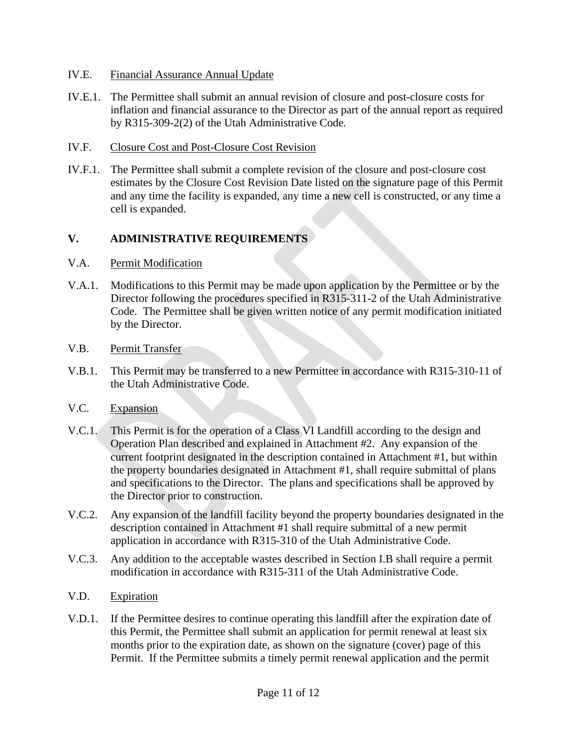#### IV.E. Financial Assurance Annual Update

- IV.E.1. The Permittee shall submit an annual revision of closure and post-closure costs for inflation and financial assurance to the Director as part of the annual report as required by R315-309-2(2) of the Utah Administrative Code*.*
- IV.F. Closure Cost and Post-Closure Cost Revision
- IV.F.1. The Permittee shall submit a complete revision of the closure and post-closure cost estimates by the Closure Cost Revision Date listed on the signature page of this Permit and any time the facility is expanded, any time a new cell is constructed, or any time a cell is expanded.

#### **V. ADMINISTRATIVE REQUIREMENTS**

#### V.A. Permit Modification

V.A.1. Modifications to this Permit may be made upon application by the Permittee or by the Director following the procedures specified in R315-311-2 of the Utah Administrative Code. The Permittee shall be given written notice of any permit modification initiated by the Director.

#### V.B. Permit Transfer

V.B.1. This Permit may be transferred to a new Permittee in accordance with R315-310-11 of the Utah Administrative Code.

#### V.C. Expansion

- V.C.1. This Permit is for the operation of a Class VI Landfill according to the design and Operation Plan described and explained in Attachment #2. Any expansion of the current footprint designated in the description contained in Attachment #1, but within the property boundaries designated in Attachment #1, shall require submittal of plans and specifications to the Director. The plans and specifications shall be approved by the Director prior to construction.
- V.C.2. Any expansion of the landfill facility beyond the property boundaries designated in the description contained in Attachment #1 shall require submittal of a new permit application in accordance with R315-310 of the Utah Administrative Code.
- V.C.3. Any addition to the acceptable wastes described in Section [I.B](#page-3-0) shall require a permit modification in accordance with R315-311 of the Utah Administrative Code.
- V.D. Expiration
- V.D.1. If the Permittee desires to continue operating this landfill after the expiration date of this Permit, the Permittee shall submit an application for permit renewal at least six months prior to the expiration date, as shown on the signature (cover) page of this Permit. If the Permittee submits a timely permit renewal application and the permit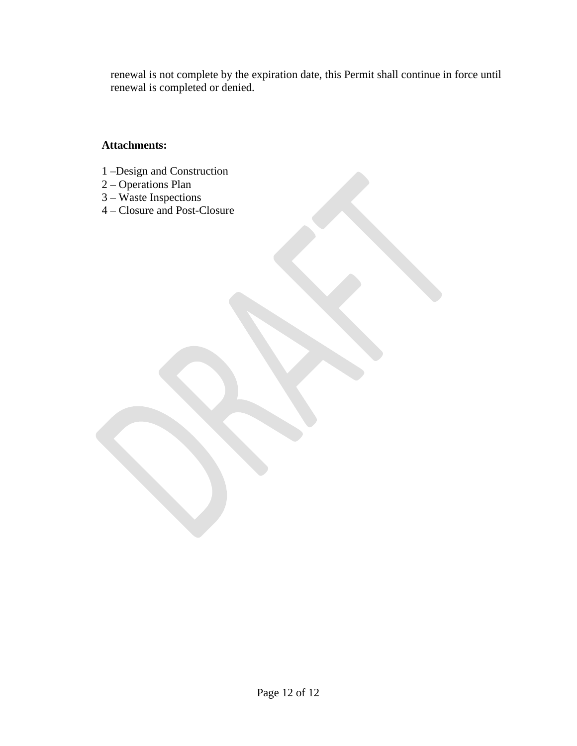renewal is not complete by the expiration date, this Permit shall continue in force until renewal is completed or denied.

#### **Attachments:**

- 1 –Design and Construction
- 2 Operations Plan
- 3 Waste Inspections
- 4 Closure and Post-Closure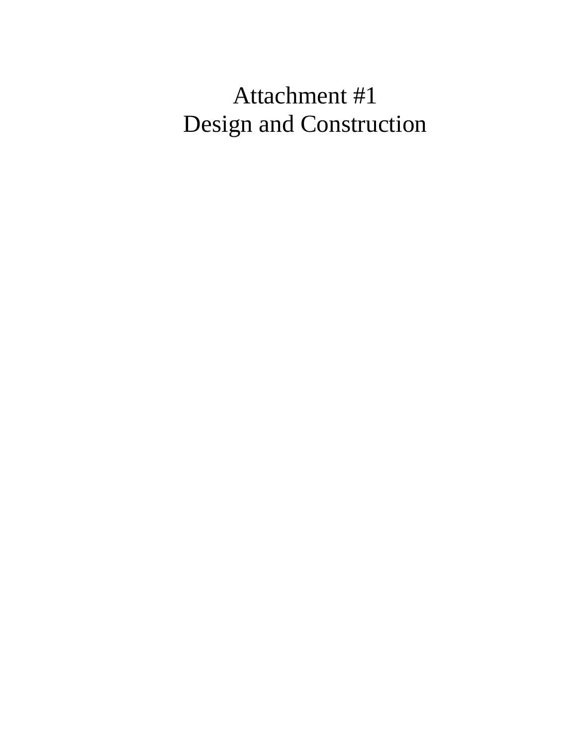# Attachment #1 Design and Construction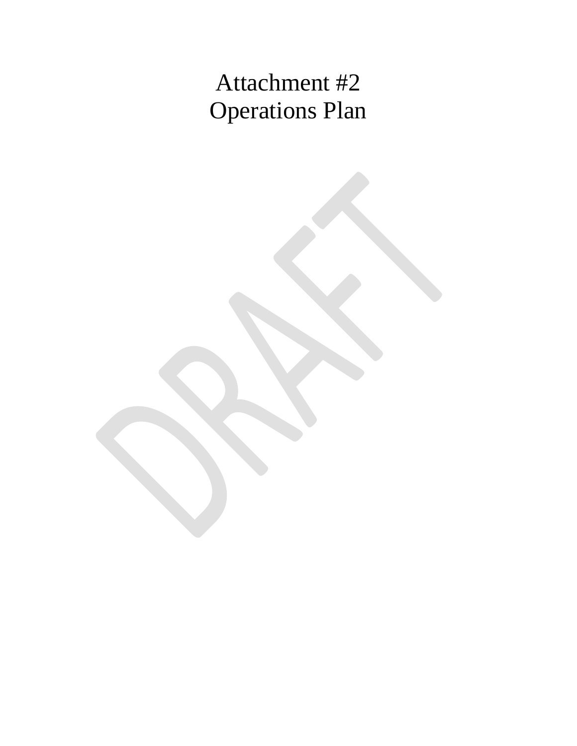# Attachment #2 Operations Plan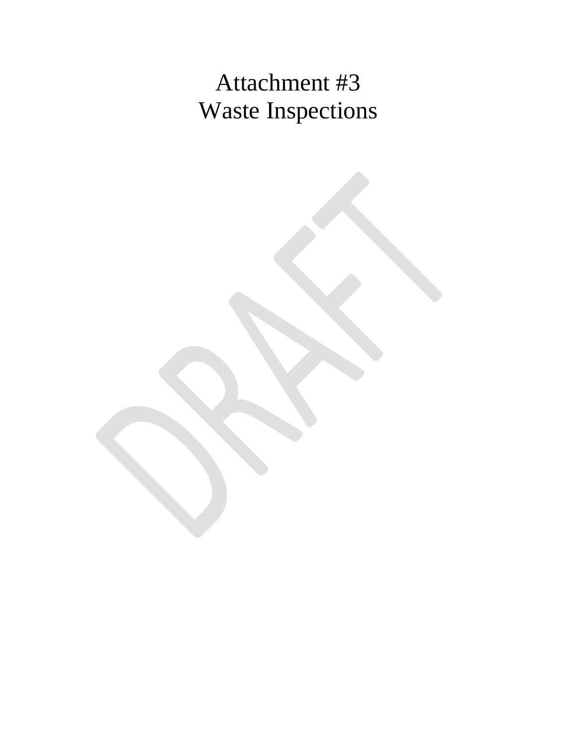# Attachment #3 Waste Inspections